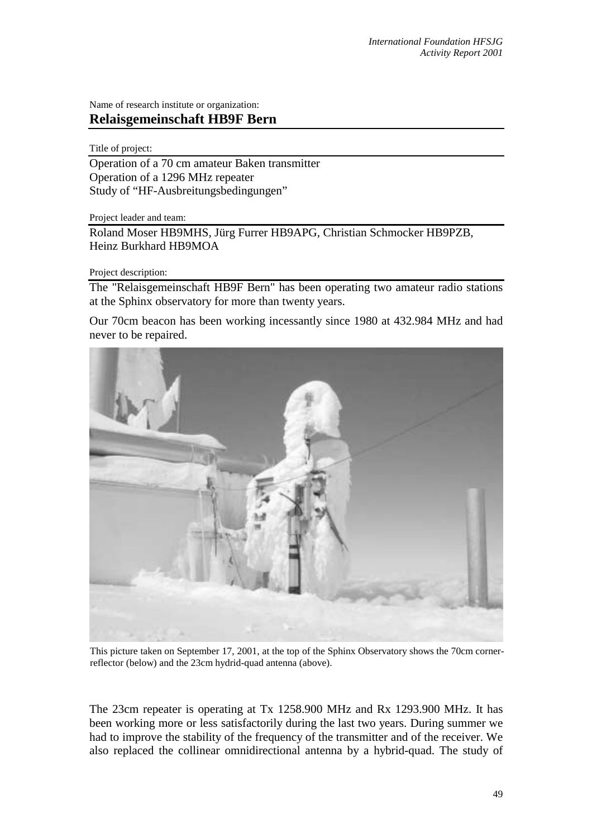Name of research institute or organization: **Relaisgemeinschaft HB9F Bern** 

Title of project:

Operation of a 70 cm amateur Baken transmitter Operation of a 1296 MHz repeater Study of "HF-Ausbreitungsbedingungen"

Project leader and team:

Roland Moser HB9MHS, Jürg Furrer HB9APG, Christian Schmocker HB9PZB, Heinz Burkhard HB9MOA

Project description:

The "Relaisgemeinschaft HB9F Bern" has been operating two amateur radio stations at the Sphinx observatory for more than twenty years.

Our 70cm beacon has been working incessantly since 1980 at 432.984 MHz and had never to be repaired.



This picture taken on September 17, 2001, at the top of the Sphinx Observatory shows the 70cm cornerreflector (below) and the 23cm hydrid-quad antenna (above).

The 23cm repeater is operating at Tx 1258.900 MHz and Rx 1293.900 MHz. It has been working more or less satisfactorily during the last two years. During summer we had to improve the stability of the frequency of the transmitter and of the receiver. We also replaced the collinear omnidirectional antenna by a hybrid-quad. The study of